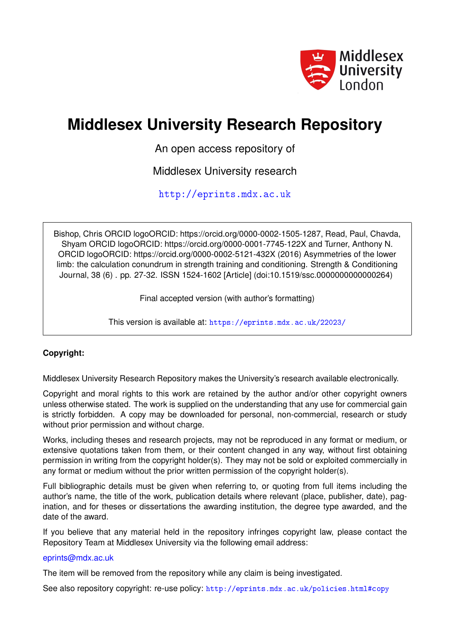

# **Middlesex University Research Repository**

An open access repository of

Middlesex University research

<http://eprints.mdx.ac.uk>

Bishop, Chris ORCID logoORCID: https://orcid.org/0000-0002-1505-1287, Read, Paul, Chavda, Shyam ORCID logoORCID: https://orcid.org/0000-0001-7745-122X and Turner, Anthony N. ORCID logoORCID: https://orcid.org/0000-0002-5121-432X (2016) Asymmetries of the lower limb: the calculation conundrum in strength training and conditioning. Strength & Conditioning Journal, 38 (6) . pp. 27-32. ISSN 1524-1602 [Article] (doi:10.1519/ssc.0000000000000264)

Final accepted version (with author's formatting)

This version is available at: <https://eprints.mdx.ac.uk/22023/>

# **Copyright:**

Middlesex University Research Repository makes the University's research available electronically.

Copyright and moral rights to this work are retained by the author and/or other copyright owners unless otherwise stated. The work is supplied on the understanding that any use for commercial gain is strictly forbidden. A copy may be downloaded for personal, non-commercial, research or study without prior permission and without charge.

Works, including theses and research projects, may not be reproduced in any format or medium, or extensive quotations taken from them, or their content changed in any way, without first obtaining permission in writing from the copyright holder(s). They may not be sold or exploited commercially in any format or medium without the prior written permission of the copyright holder(s).

Full bibliographic details must be given when referring to, or quoting from full items including the author's name, the title of the work, publication details where relevant (place, publisher, date), pagination, and for theses or dissertations the awarding institution, the degree type awarded, and the date of the award.

If you believe that any material held in the repository infringes copyright law, please contact the Repository Team at Middlesex University via the following email address:

# [eprints@mdx.ac.uk](mailto:eprints@mdx.ac.uk)

The item will be removed from the repository while any claim is being investigated.

See also repository copyright: re-use policy: <http://eprints.mdx.ac.uk/policies.html#copy>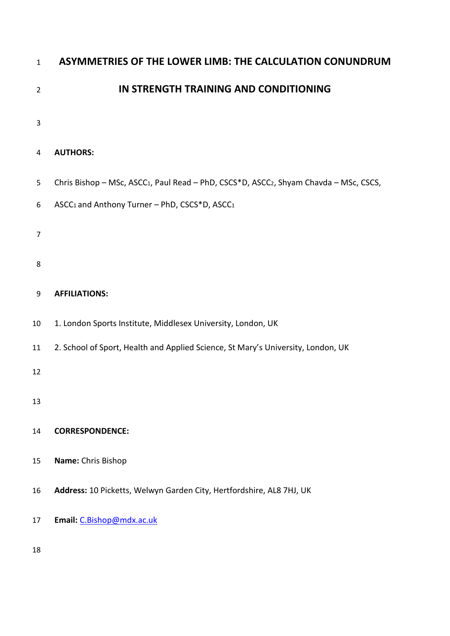| $\mathbf{1}$   | ASYMMETRIES OF THE LOWER LIMB: THE CALCULATION CONUNDRUM                                                       |  |  |  |  |
|----------------|----------------------------------------------------------------------------------------------------------------|--|--|--|--|
| $\overline{2}$ | IN STRENGTH TRAINING AND CONDITIONING                                                                          |  |  |  |  |
| 3              |                                                                                                                |  |  |  |  |
| 4              | <b>AUTHORS:</b>                                                                                                |  |  |  |  |
| 5              | Chris Bishop - MSc, ASCC <sub>1</sub> , Paul Read - PhD, CSCS*D, ASCC <sub>2</sub> , Shyam Chavda - MSc, CSCS, |  |  |  |  |
| 6              | ASCC <sub>1</sub> and Anthony Turner - PhD, CSCS*D, ASCC <sub>1</sub>                                          |  |  |  |  |
| 7              |                                                                                                                |  |  |  |  |
| 8              |                                                                                                                |  |  |  |  |
| 9              | <b>AFFILIATIONS:</b>                                                                                           |  |  |  |  |
| 10             | 1. London Sports Institute, Middlesex University, London, UK                                                   |  |  |  |  |
| 11             | 2. School of Sport, Health and Applied Science, St Mary's University, London, UK                               |  |  |  |  |
| 12             |                                                                                                                |  |  |  |  |
| 13             |                                                                                                                |  |  |  |  |
| 14             | <b>CORRESPONDENCE:</b>                                                                                         |  |  |  |  |
| 15             | Name: Chris Bishop                                                                                             |  |  |  |  |
| 16             | Address: 10 Picketts, Welwyn Garden City, Hertfordshire, AL8 7HJ, UK                                           |  |  |  |  |
| 17             | Email: C.Bishop@mdx.ac.uk                                                                                      |  |  |  |  |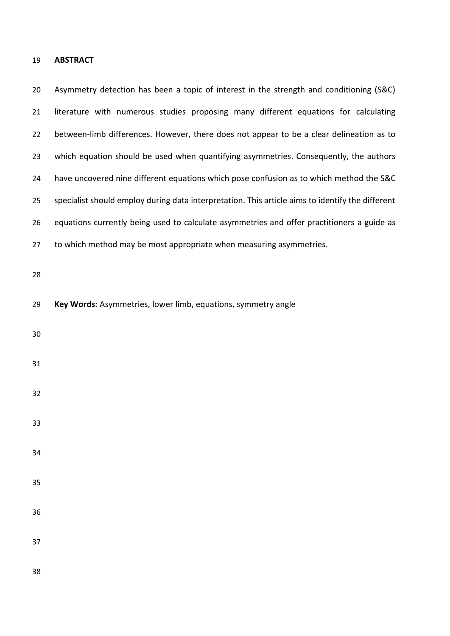## **ABSTRACT**

 Asymmetry detection has been a topic of interest in the strength and conditioning (S&C) literature with numerous studies proposing many different equations for calculating between-limb differences. However, there does not appear to be a clear delineation as to which equation should be used when quantifying asymmetries. Consequently, the authors have uncovered nine different equations which pose confusion as to which method the S&C specialist should employ during data interpretation. This article aims to identify the different equations currently being used to calculate asymmetries and offer practitioners a guide as 27 to which method may be most appropriate when measuring asymmetries. 

- **Key Words:** Asymmetries, lower limb, equations, symmetry angle
- 

- 
- 
- 
- 
- 
- 

- 
-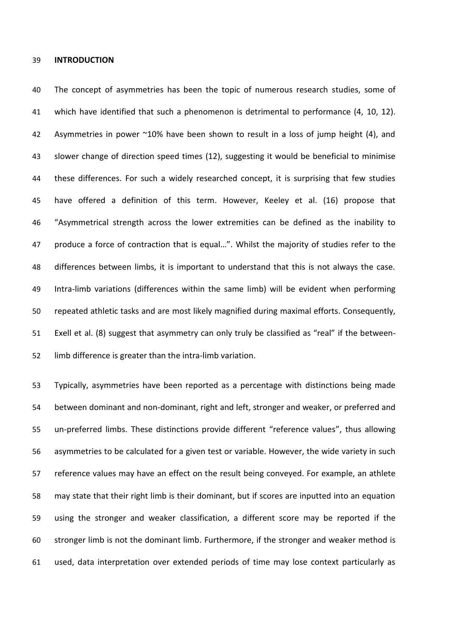#### **INTRODUCTION**

 The concept of asymmetries has been the topic of numerous research studies, some of which have identified that such a phenomenon is detrimental to performance (4, 10, 12). 42 Asymmetries in power ~10% have been shown to result in a loss of jump height (4), and slower change of direction speed times (12), suggesting it would be beneficial to minimise these differences. For such a widely researched concept, it is surprising that few studies have offered a definition of this term. However, Keeley et al. (16) propose that "Asymmetrical strength across the lower extremities can be defined as the inability to produce a force of contraction that is equal…". Whilst the majority of studies refer to the differences between limbs, it is important to understand that this is not always the case. Intra-limb variations (differences within the same limb) will be evident when performing repeated athletic tasks and are most likely magnified during maximal efforts. Consequently, Exell et al. (8) suggest that asymmetry can only truly be classified as "real" if the between-limb difference is greater than the intra-limb variation.

 Typically, asymmetries have been reported as a percentage with distinctions being made between dominant and non-dominant, right and left, stronger and weaker, or preferred and un-preferred limbs. These distinctions provide different "reference values", thus allowing asymmetries to be calculated for a given test or variable. However, the wide variety in such reference values may have an effect on the result being conveyed. For example, an athlete may state that their right limb is their dominant, but if scores are inputted into an equation using the stronger and weaker classification, a different score may be reported if the stronger limb is not the dominant limb. Furthermore, if the stronger and weaker method is used, data interpretation over extended periods of time may lose context particularly as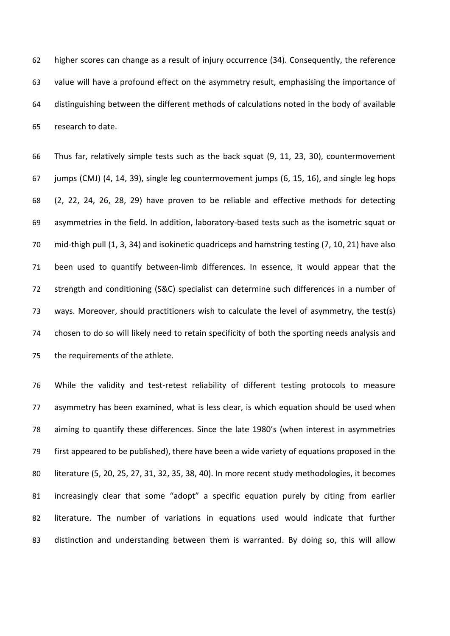higher scores can change as a result of injury occurrence (34). Consequently, the reference value will have a profound effect on the asymmetry result, emphasising the importance of distinguishing between the different methods of calculations noted in the body of available research to date.

 Thus far, relatively simple tests such as the back squat (9, 11, 23, 30), countermovement jumps (CMJ) (4, 14, 39), single leg countermovement jumps (6, 15, 16), and single leg hops (2, 22, 24, 26, 28, 29) have proven to be reliable and effective methods for detecting asymmetries in the field. In addition, laboratory-based tests such as the isometric squat or mid-thigh pull (1, 3, 34) and isokinetic quadriceps and hamstring testing (7, 10, 21) have also been used to quantify between-limb differences. In essence, it would appear that the strength and conditioning (S&C) specialist can determine such differences in a number of ways. Moreover, should practitioners wish to calculate the level of asymmetry, the test(s) chosen to do so will likely need to retain specificity of both the sporting needs analysis and the requirements of the athlete.

 While the validity and test-retest reliability of different testing protocols to measure asymmetry has been examined, what is less clear, is which equation should be used when aiming to quantify these differences. Since the late 1980's (when interest in asymmetries first appeared to be published), there have been a wide variety of equations proposed in the literature (5, 20, 25, 27, 31, 32, 35, 38, 40). In more recent study methodologies, it becomes increasingly clear that some "adopt" a specific equation purely by citing from earlier literature. The number of variations in equations used would indicate that further distinction and understanding between them is warranted. By doing so, this will allow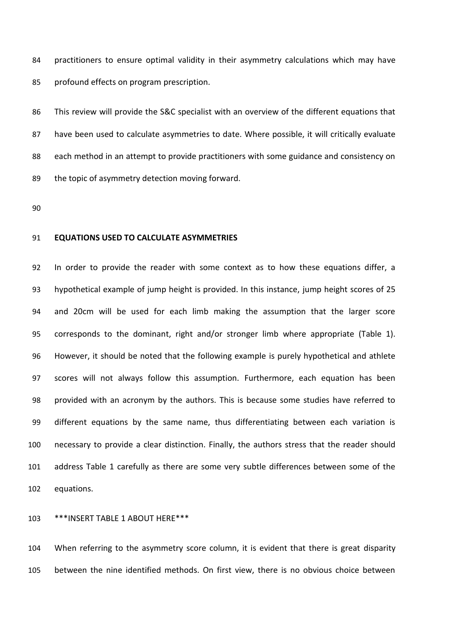practitioners to ensure optimal validity in their asymmetry calculations which may have profound effects on program prescription.

 This review will provide the S&C specialist with an overview of the different equations that have been used to calculate asymmetries to date. Where possible, it will critically evaluate each method in an attempt to provide practitioners with some guidance and consistency on 89 the topic of asymmetry detection moving forward.

## **EQUATIONS USED TO CALCULATE ASYMMETRIES**

 In order to provide the reader with some context as to how these equations differ, a hypothetical example of jump height is provided. In this instance, jump height scores of 25 and 20cm will be used for each limb making the assumption that the larger score corresponds to the dominant, right and/or stronger limb where appropriate (Table 1). However, it should be noted that the following example is purely hypothetical and athlete scores will not always follow this assumption. Furthermore, each equation has been provided with an acronym by the authors. This is because some studies have referred to different equations by the same name, thus differentiating between each variation is necessary to provide a clear distinction. Finally, the authors stress that the reader should address Table 1 carefully as there are some very subtle differences between some of the equations.

\*\*\*INSERT TABLE 1 ABOUT HERE\*\*\*

 When referring to the asymmetry score column, it is evident that there is great disparity between the nine identified methods. On first view, there is no obvious choice between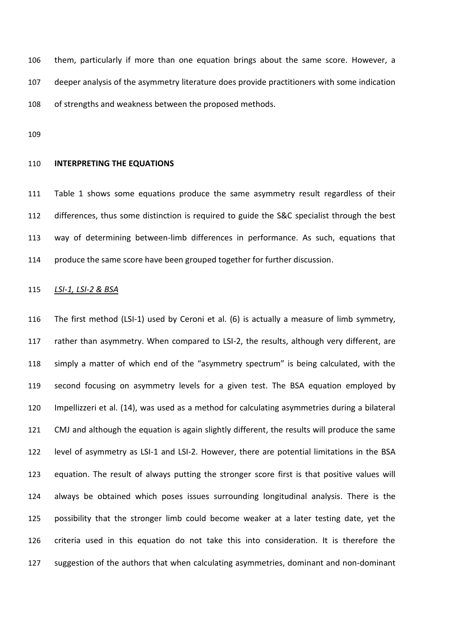them, particularly if more than one equation brings about the same score. However, a deeper analysis of the asymmetry literature does provide practitioners with some indication of strengths and weakness between the proposed methods.

#### **INTERPRETING THE EQUATIONS**

 Table 1 shows some equations produce the same asymmetry result regardless of their 112 differences, thus some distinction is required to guide the S&C specialist through the best way of determining between-limb differences in performance. As such, equations that produce the same score have been grouped together for further discussion.

#### *LSI-1, LSI-2 & BSA*

 The first method (LSI-1) used by Ceroni et al. (6) is actually a measure of limb symmetry, 117 rather than asymmetry. When compared to LSI-2, the results, although very different, are simply a matter of which end of the "asymmetry spectrum" is being calculated, with the second focusing on asymmetry levels for a given test. The BSA equation employed by Impellizzeri et al. (14), was used as a method for calculating asymmetries during a bilateral CMJ and although the equation is again slightly different, the results will produce the same level of asymmetry as LSI-1 and LSI-2. However, there are potential limitations in the BSA equation. The result of always putting the stronger score first is that positive values will always be obtained which poses issues surrounding longitudinal analysis. There is the possibility that the stronger limb could become weaker at a later testing date, yet the criteria used in this equation do not take this into consideration. It is therefore the suggestion of the authors that when calculating asymmetries, dominant and non-dominant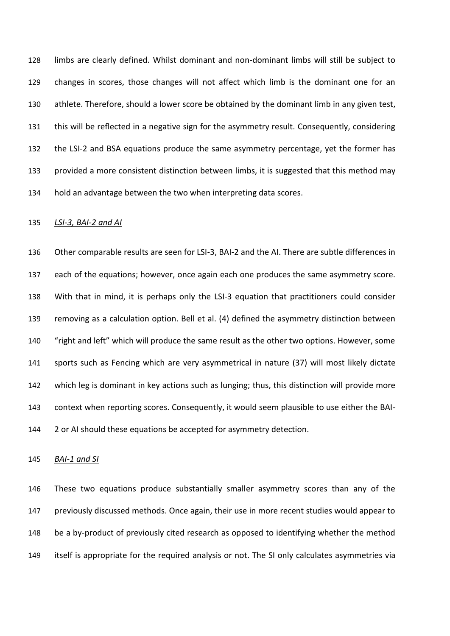limbs are clearly defined. Whilst dominant and non-dominant limbs will still be subject to changes in scores, those changes will not affect which limb is the dominant one for an athlete. Therefore, should a lower score be obtained by the dominant limb in any given test, this will be reflected in a negative sign for the asymmetry result. Consequently, considering the LSI-2 and BSA equations produce the same asymmetry percentage, yet the former has provided a more consistent distinction between limbs, it is suggested that this method may hold an advantage between the two when interpreting data scores.

#### *LSI-3, BAI-2 and AI*

 Other comparable results are seen for LSI-3, BAI-2 and the AI. There are subtle differences in each of the equations; however, once again each one produces the same asymmetry score. With that in mind, it is perhaps only the LSI-3 equation that practitioners could consider removing as a calculation option. Bell et al. (4) defined the asymmetry distinction between "right and left" which will produce the same result as the other two options. However, some sports such as Fencing which are very asymmetrical in nature (37) will most likely dictate which leg is dominant in key actions such as lunging; thus, this distinction will provide more context when reporting scores. Consequently, it would seem plausible to use either the BAI-144 2 or AI should these equations be accepted for asymmetry detection.

#### *BAI-1 and SI*

 These two equations produce substantially smaller asymmetry scores than any of the previously discussed methods. Once again, their use in more recent studies would appear to be a by-product of previously cited research as opposed to identifying whether the method itself is appropriate for the required analysis or not. The SI only calculates asymmetries via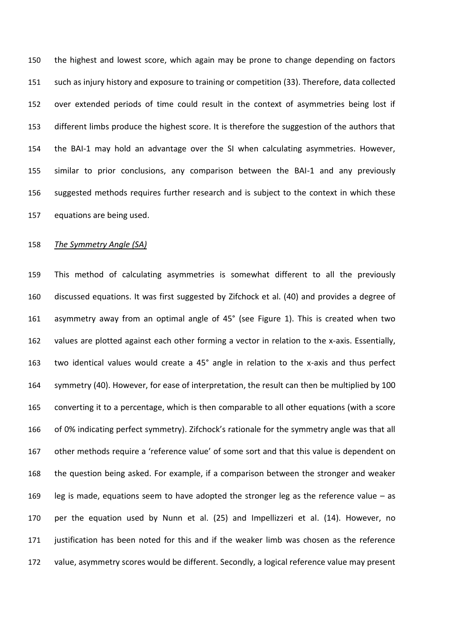the highest and lowest score, which again may be prone to change depending on factors such as injury history and exposure to training or competition (33). Therefore, data collected over extended periods of time could result in the context of asymmetries being lost if different limbs produce the highest score. It is therefore the suggestion of the authors that the BAI-1 may hold an advantage over the SI when calculating asymmetries. However, similar to prior conclusions, any comparison between the BAI-1 and any previously suggested methods requires further research and is subject to the context in which these equations are being used.

## *The Symmetry Angle (SA)*

 This method of calculating asymmetries is somewhat different to all the previously discussed equations. It was first suggested by Zifchock et al. (40) and provides a degree of asymmetry away from an optimal angle of 45° (see Figure 1). This is created when two values are plotted against each other forming a vector in relation to the x-axis. Essentially, two identical values would create a 45° angle in relation to the x-axis and thus perfect symmetry (40). However, for ease of interpretation, the result can then be multiplied by 100 converting it to a percentage, which is then comparable to all other equations (with a score of 0% indicating perfect symmetry). Zifchock's rationale for the symmetry angle was that all other methods require a 'reference value' of some sort and that this value is dependent on the question being asked. For example, if a comparison between the stronger and weaker leg is made, equations seem to have adopted the stronger leg as the reference value – as per the equation used by Nunn et al. (25) and Impellizzeri et al. (14). However, no justification has been noted for this and if the weaker limb was chosen as the reference value, asymmetry scores would be different. Secondly, a logical reference value may present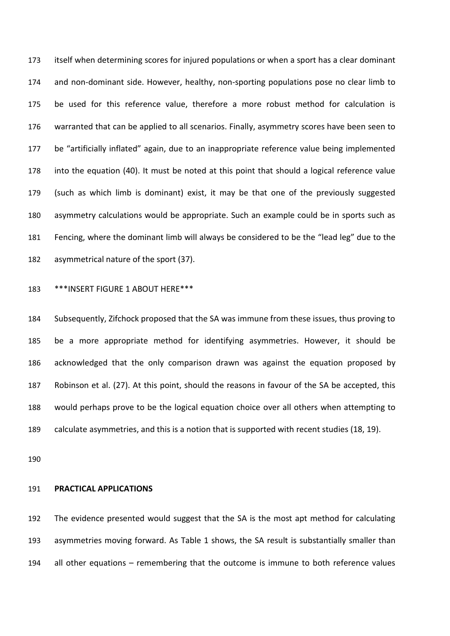itself when determining scores for injured populations or when a sport has a clear dominant and non-dominant side. However, healthy, non-sporting populations pose no clear limb to be used for this reference value, therefore a more robust method for calculation is warranted that can be applied to all scenarios. Finally, asymmetry scores have been seen to be "artificially inflated" again, due to an inappropriate reference value being implemented into the equation (40). It must be noted at this point that should a logical reference value (such as which limb is dominant) exist, it may be that one of the previously suggested asymmetry calculations would be appropriate. Such an example could be in sports such as Fencing, where the dominant limb will always be considered to be the "lead leg" due to the asymmetrical nature of the sport (37).

\*\*\*INSERT FIGURE 1 ABOUT HERE\*\*\*

 Subsequently, Zifchock proposed that the SA was immune from these issues, thus proving to be a more appropriate method for identifying asymmetries. However, it should be acknowledged that the only comparison drawn was against the equation proposed by Robinson et al. (27). At this point, should the reasons in favour of the SA be accepted, this would perhaps prove to be the logical equation choice over all others when attempting to calculate asymmetries, and this is a notion that is supported with recent studies (18, 19).

### **PRACTICAL APPLICATIONS**

 The evidence presented would suggest that the SA is the most apt method for calculating asymmetries moving forward. As Table 1 shows, the SA result is substantially smaller than all other equations – remembering that the outcome is immune to both reference values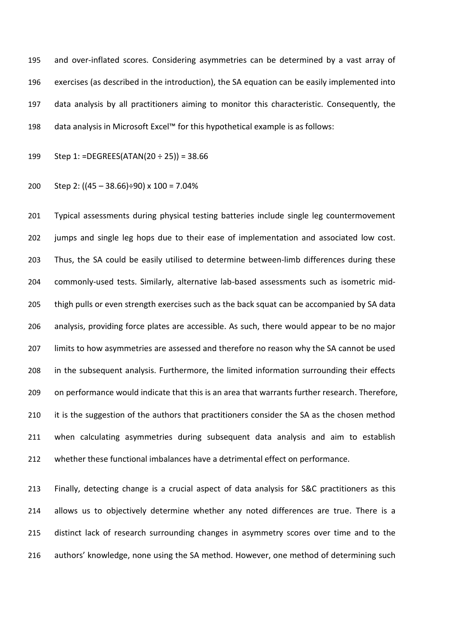and over-inflated scores. Considering asymmetries can be determined by a vast array of exercises (as described in the introduction), the SA equation can be easily implemented into data analysis by all practitioners aiming to monitor this characteristic. Consequently, the data analysis in Microsoft Excel™ for this hypothetical example is as follows:

Step 1: =DEGREES(ATAN(20 ÷ 25)) = 38.66

200 Step 2: 
$$
((45 - 38.66) \div 90) \times 100 = 7.04\%
$$

 Typical assessments during physical testing batteries include single leg countermovement jumps and single leg hops due to their ease of implementation and associated low cost. Thus, the SA could be easily utilised to determine between-limb differences during these commonly-used tests. Similarly, alternative lab-based assessments such as isometric mid-205 thigh pulls or even strength exercises such as the back squat can be accompanied by SA data analysis, providing force plates are accessible. As such, there would appear to be no major limits to how asymmetries are assessed and therefore no reason why the SA cannot be used in the subsequent analysis. Furthermore, the limited information surrounding their effects on performance would indicate that this is an area that warrants further research. Therefore, 210 it is the suggestion of the authors that practitioners consider the SA as the chosen method when calculating asymmetries during subsequent data analysis and aim to establish whether these functional imbalances have a detrimental effect on performance.

 Finally, detecting change is a crucial aspect of data analysis for S&C practitioners as this allows us to objectively determine whether any noted differences are true. There is a distinct lack of research surrounding changes in asymmetry scores over time and to the authors' knowledge, none using the SA method. However, one method of determining such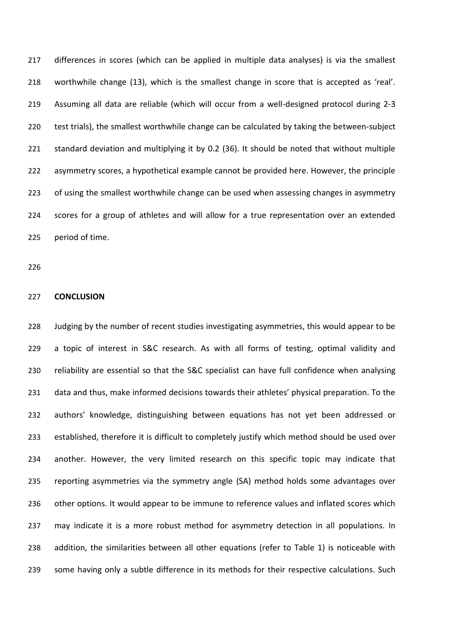differences in scores (which can be applied in multiple data analyses) is via the smallest worthwhile change (13), which is the smallest change in score that is accepted as 'real'. Assuming all data are reliable (which will occur from a well-designed protocol during 2-3 test trials), the smallest worthwhile change can be calculated by taking the between-subject standard deviation and multiplying it by 0.2 (36). It should be noted that without multiple asymmetry scores, a hypothetical example cannot be provided here. However, the principle of using the smallest worthwhile change can be used when assessing changes in asymmetry scores for a group of athletes and will allow for a true representation over an extended period of time.

#### **CONCLUSION**

 Judging by the number of recent studies investigating asymmetries, this would appear to be a topic of interest in S&C research. As with all forms of testing, optimal validity and reliability are essential so that the S&C specialist can have full confidence when analysing data and thus, make informed decisions towards their athletes' physical preparation. To the authors' knowledge, distinguishing between equations has not yet been addressed or established, therefore it is difficult to completely justify which method should be used over another. However, the very limited research on this specific topic may indicate that reporting asymmetries via the symmetry angle (SA) method holds some advantages over other options. It would appear to be immune to reference values and inflated scores which may indicate it is a more robust method for asymmetry detection in all populations. In addition, the similarities between all other equations (refer to Table 1) is noticeable with some having only a subtle difference in its methods for their respective calculations. Such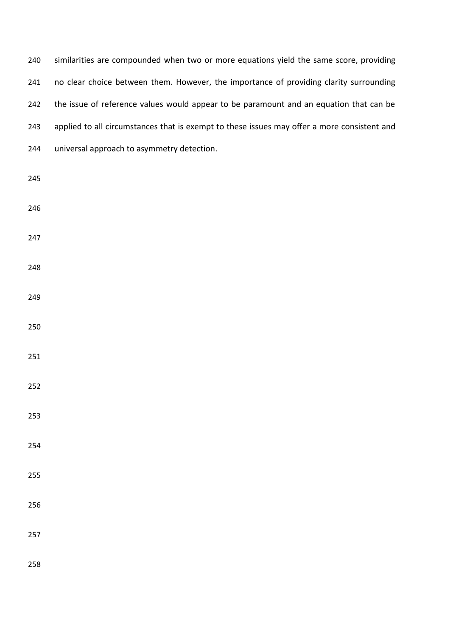| 240 | similarities are compounded when two or more equations yield the same score, providing      |
|-----|---------------------------------------------------------------------------------------------|
| 241 | no clear choice between them. However, the importance of providing clarity surrounding      |
| 242 | the issue of reference values would appear to be paramount and an equation that can be      |
| 243 | applied to all circumstances that is exempt to these issues may offer a more consistent and |
| 244 | universal approach to asymmetry detection.                                                  |
| 245 |                                                                                             |
| 246 |                                                                                             |
| 247 |                                                                                             |
| 248 |                                                                                             |
| 249 |                                                                                             |
| 250 |                                                                                             |
| 251 |                                                                                             |
| 252 |                                                                                             |
| 253 |                                                                                             |
| 254 |                                                                                             |
| 255 |                                                                                             |
| 256 |                                                                                             |
| 257 |                                                                                             |
| 258 |                                                                                             |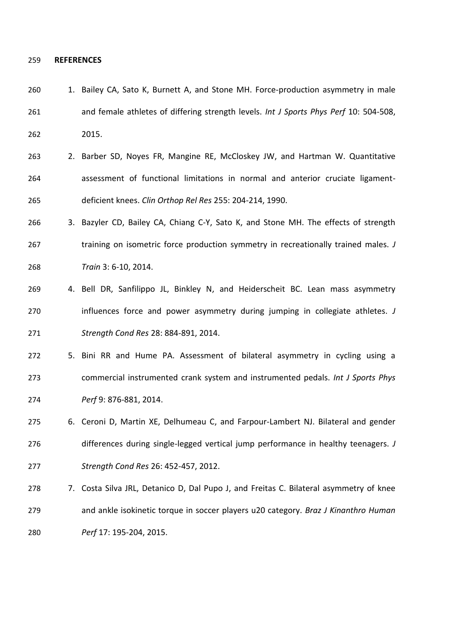#### **REFERENCES**

- 260 1. Bailey CA, Sato K, Burnett A, and Stone MH. Force-production asymmetry in male and female athletes of differing strength levels. *Int J Sports Phys Perf* 10: 504-508, 2015.
- 263 2. Barber SD, Noyes FR, Mangine RE, McCloskey JW, and Hartman W. Quantitative assessment of functional limitations in normal and anterior cruciate ligament-deficient knees. *Clin Orthop Rel Res* 255: 204-214, 1990.
- 3. Bazyler CD, Bailey CA, Chiang C-Y, Sato K, and Stone MH. The effects of strength training on isometric force production symmetry in recreationally trained males. *J Train* 3: 6-10, 2014.
- 4. Bell DR, Sanfilippo JL, Binkley N, and Heiderscheit BC. Lean mass asymmetry influences force and power asymmetry during jumping in collegiate athletes. *J Strength Cond Res* 28: 884-891, 2014.
- 5. Bini RR and Hume PA. Assessment of bilateral asymmetry in cycling using a commercial instrumented crank system and instrumented pedals. *Int J Sports Phys Perf* 9: 876-881, 2014.
- 6. Ceroni D, Martin XE, Delhumeau C, and Farpour-Lambert NJ. Bilateral and gender differences during single-legged vertical jump performance in healthy teenagers. *J Strength Cond Res* 26: 452-457, 2012.
- 278 7. Costa Silva JRL, Detanico D, Dal Pupo J, and Freitas C. Bilateral asymmetry of knee and ankle isokinetic torque in soccer players u20 category. *Braz J Kinanthro Human Perf* 17: 195-204, 2015.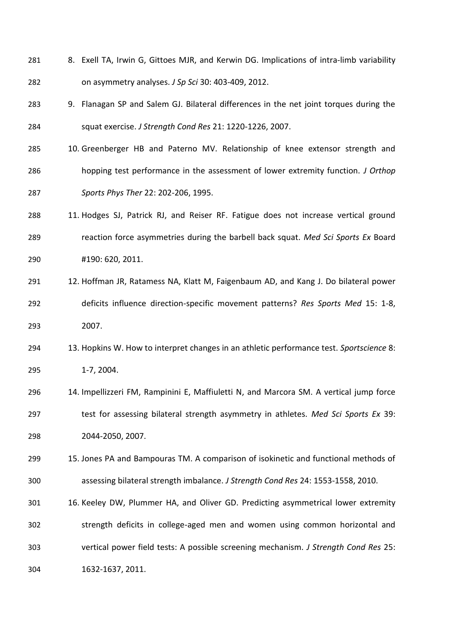- 281 8. Exell TA, Irwin G, Gittoes MJR, and Kerwin DG. Implications of intra-limb variability on asymmetry analyses. *J Sp Sci* 30: 403-409, 2012.
- 9. Flanagan SP and Salem GJ. Bilateral differences in the net joint torques during the squat exercise. *J Strength Cond Res* 21: 1220-1226, 2007.
- 10. Greenberger HB and Paterno MV. Relationship of knee extensor strength and hopping test performance in the assessment of lower extremity function. *J Orthop Sports Phys Ther* 22: 202-206, 1995.
- 11. Hodges SJ, Patrick RJ, and Reiser RF. Fatigue does not increase vertical ground reaction force asymmetries during the barbell back squat. *Med Sci Sports Ex* Board #190: 620, 2011.
- 12. Hoffman JR, Ratamess NA, Klatt M, Faigenbaum AD, and Kang J. Do bilateral power deficits influence direction-specific movement patterns? *Res Sports Med* 15: 1-8, 2007.
- 13. Hopkins W. How to interpret changes in an athletic performance test. *Sportscience* 8: 1-7, 2004.
- 14. Impellizzeri FM, Rampinini E, Maffiuletti N, and Marcora SM. A vertical jump force test for assessing bilateral strength asymmetry in athletes. *Med Sci Sports Ex* 39: 2044-2050, 2007.
- 15. Jones PA and Bampouras TM. A comparison of isokinetic and functional methods of assessing bilateral strength imbalance. *J Strength Cond Res* 24: 1553-1558, 2010.
- 16. Keeley DW, Plummer HA, and Oliver GD. Predicting asymmetrical lower extremity strength deficits in college-aged men and women using common horizontal and vertical power field tests: A possible screening mechanism. *J Strength Cond Res* 25: 1632-1637, 2011.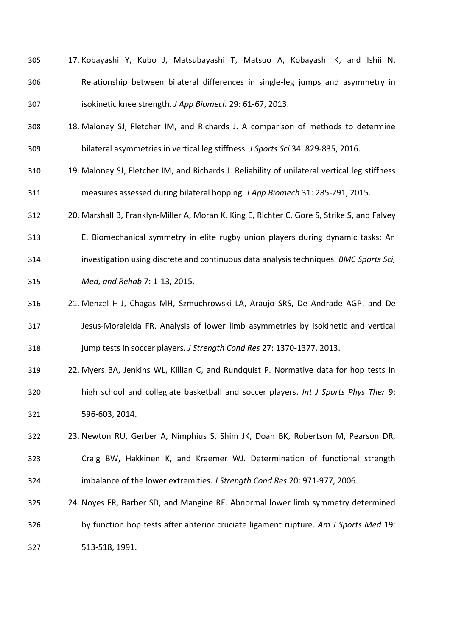| 305 | 17. Kobayashi Y, Kubo J, Matsubayashi T, Matsuo A, Kobayashi K, and Ishii N.    |
|-----|---------------------------------------------------------------------------------|
| 306 | Relationship between bilateral differences in single-leg jumps and asymmetry in |
| 307 | isokinetic knee strength. J App Biomech 29: 61-67, 2013.                        |

- 18. Maloney SJ, Fletcher IM, and Richards J. A comparison of methods to determine bilateral asymmetries in vertical leg stiffness. *J Sports Sci* 34: 829-835, 2016.
- 19. Maloney SJ, Fletcher IM, and Richards J. Reliability of unilateral vertical leg stiffness measures assessed during bilateral hopping. *J App Biomech* 31: 285-291, 2015.

20. Marshall B, Franklyn-Miller A, Moran K, King E, Richter C, Gore S, Strike S, and Falvey

E. Biomechanical symmetry in elite rugby union players during dynamic tasks: An

- investigation using discrete and continuous data analysis techniques. *BMC Sports Sci,*
- *Med, and Rehab* 7: 1-13, 2015.
- 21. Menzel H-J, Chagas MH, Szmuchrowski LA, Araujo SRS, De Andrade AGP, and De Jesus-Moraleida FR. Analysis of lower limb asymmetries by isokinetic and vertical jump tests in soccer players. *J Strength Cond Res* 27: 1370-1377, 2013.
- 22. Myers BA, Jenkins WL, Killian C, and Rundquist P. Normative data for hop tests in high school and collegiate basketball and soccer players. *Int J Sports Phys Ther* 9: 596-603, 2014.
- 23. Newton RU, Gerber A, Nimphius S, Shim JK, Doan BK, Robertson M, Pearson DR, Craig BW, Hakkinen K, and Kraemer WJ. Determination of functional strength imbalance of the lower extremities. *J Strength Cond Res* 20: 971-977, 2006.
- 24. Noyes FR, Barber SD, and Mangine RE. Abnormal lower limb symmetry determined by function hop tests after anterior cruciate ligament rupture. *Am J Sports Med* 19: 513-518, 1991.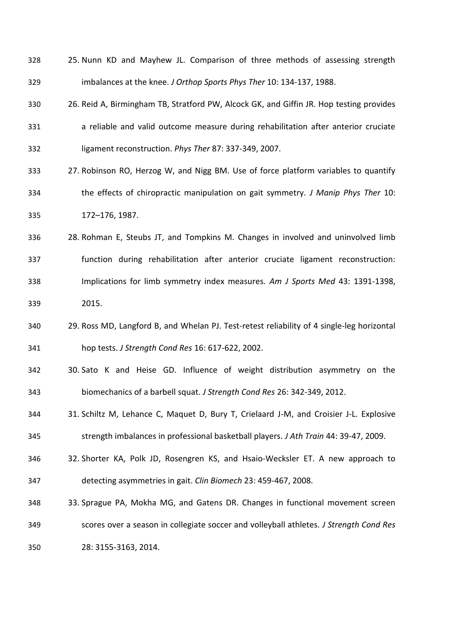- 25. Nunn KD and Mayhew JL. Comparison of three methods of assessing strength imbalances at the knee. *J Orthop Sports Phys Ther* 10: 134-137, 1988.
- 26. Reid A, Birmingham TB, Stratford PW, Alcock GK, and Giffin JR. Hop testing provides a reliable and valid outcome measure during rehabilitation after anterior cruciate ligament reconstruction. *Phys Ther* 87: 337-349, 2007.
- 27. Robinson RO, Herzog W, and Nigg BM. Use of force platform variables to quantify the effects of chiropractic manipulation on gait symmetry. *J Manip Phys Ther* 10: 172–176, 1987.
- 28. Rohman E, Steubs JT, and Tompkins M. Changes in involved and uninvolved limb function during rehabilitation after anterior cruciate ligament reconstruction: Implications for limb symmetry index measures. *Am J Sports Med* 43: 1391-1398, 2015.
- 29. Ross MD, Langford B, and Whelan PJ. Test-retest reliability of 4 single-leg horizontal hop tests. *J Strength Cond Res* 16: 617-622, 2002.
- 30. Sato K and Heise GD. Influence of weight distribution asymmetry on the biomechanics of a barbell squat. *J Strength Cond Res* 26: 342-349, 2012.
- 31. Schiltz M, Lehance C, Maquet D, Bury T, Crielaard J-M, and Croisier J-L. Explosive strength imbalances in professional basketball players. *J Ath Train* 44: 39-47, 2009.
- 32. Shorter KA, Polk JD, Rosengren KS, and Hsaio-Wecksler ET. A new approach to detecting asymmetries in gait. *Clin Biomech* 23: 459-467, 2008.
- 33. Sprague PA, Mokha MG, and Gatens DR. Changes in functional movement screen scores over a season in collegiate soccer and volleyball athletes. *J Strength Cond Res*  28: 3155-3163, 2014.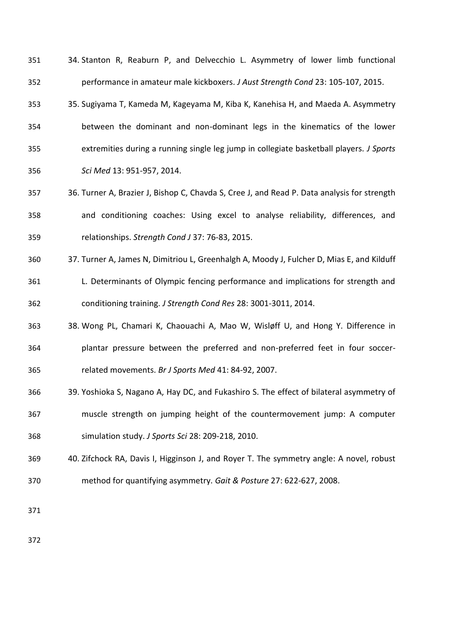| 351 | 34. Stanton R, Reaburn P, and Delvecchio L. Asymmetry of lower limb functional          |
|-----|-----------------------------------------------------------------------------------------|
| 352 | performance in amateur male kickboxers. J Aust Strength Cond 23: 105-107, 2015.         |
| 353 | 35. Sugiyama T, Kameda M, Kageyama M, Kiba K, Kanehisa H, and Maeda A. Asymmetry        |
| 354 | between the dominant and non-dominant legs in the kinematics of the lower               |
| 355 | extremities during a running single leg jump in collegiate basketball players. J Sports |
| 356 | Sci Med 13: 951-957, 2014.                                                              |

- 36. Turner A, Brazier J, Bishop C, Chavda S, Cree J, and Read P. Data analysis for strength and conditioning coaches: Using excel to analyse reliability, differences, and relationships. *Strength Cond J* 37: 76-83, 2015.
- 37. Turner A, James N, Dimitriou L, Greenhalgh A, Moody J, Fulcher D, Mias E, and Kilduff
- L. Determinants of Olympic fencing performance and implications for strength and conditioning training. *J Strength Cond Res* 28: 3001-3011, 2014.
- 38. Wong PL, Chamari K, Chaouachi A, Mao W, Wisløff U, and Hong Y. Difference in plantar pressure between the preferred and non-preferred feet in four soccer-related movements. *Br J Sports Med* 41: 84-92, 2007.
- 39. Yoshioka S, Nagano A, Hay DC, and Fukashiro S. The effect of bilateral asymmetry of muscle strength on jumping height of the countermovement jump: A computer simulation study. *J Sports Sci* 28: 209-218, 2010.
- 40. Zifchock RA, Davis I, Higginson J, and Royer T. The symmetry angle: A novel, robust method for quantifying asymmetry. *Gait & Posture* 27: 622-627, 2008.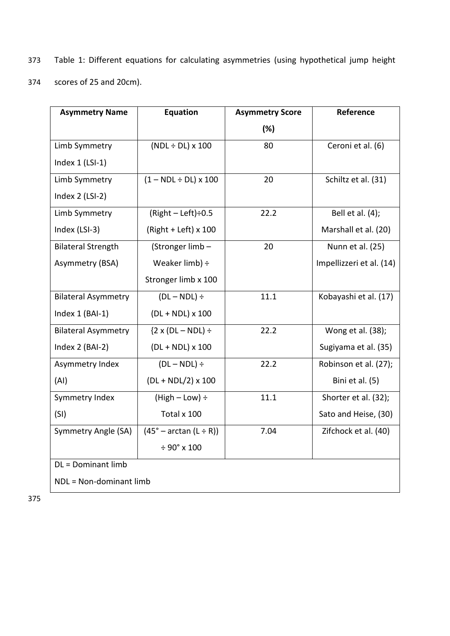- 373 Table 1: Different equations for calculating asymmetries (using hypothetical jump height
- 374 scores of 25 and 20cm).

| <b>Asymmetry Name</b>      | <b>Equation</b>                   | <b>Asymmetry Score</b> | Reference                |  |  |  |
|----------------------------|-----------------------------------|------------------------|--------------------------|--|--|--|
|                            |                                   | $(\%)$                 |                          |  |  |  |
| Limb Symmetry              | $(NDL \div DL) \times 100$        | 80                     | Ceroni et al. (6)        |  |  |  |
| Index $1$ (LSI-1)          |                                   |                        |                          |  |  |  |
| Limb Symmetry              | $(1 - NDL \div DL) \times 100$    | 20                     | Schiltz et al. (31)      |  |  |  |
| Index 2 (LSI-2)            |                                   |                        |                          |  |  |  |
| Limb Symmetry              | $(Right - Left) \div 0.5$         | 22.2                   | Bell et al. (4);         |  |  |  |
| Index (LSI-3)              | (Right + Left) $x$ 100            |                        | Marshall et al. (20)     |  |  |  |
| <b>Bilateral Strength</b>  | (Stronger limb-                   | 20                     | Nunn et al. (25)         |  |  |  |
| Asymmetry (BSA)            | Weaker $limb) \div$               |                        | Impellizzeri et al. (14) |  |  |  |
|                            | Stronger limb x 100               |                        |                          |  |  |  |
| <b>Bilateral Asymmetry</b> | $(DL - NDL) \div$                 | 11.1                   | Kobayashi et al. (17)    |  |  |  |
| Index 1 (BAI-1)            | $(DL + NDL) \times 100$           |                        |                          |  |  |  |
| <b>Bilateral Asymmetry</b> | ${2 \times (DL - NDL)} \div$      | 22.2                   | Wong et al. (38);        |  |  |  |
| Index 2 (BAI-2)            | $(DL + NDL) \times 100$           |                        | Sugiyama et al. (35)     |  |  |  |
| Asymmetry Index            | $(DL - NDL) \div$                 | 22.2                   | Robinson et al. (27);    |  |  |  |
| (AI)                       | $(DL + NDL/2)$ x 100              |                        | Bini et al. (5)          |  |  |  |
| Symmetry Index             | $(High - Low) \div$               | 11.1                   | Shorter et al. (32);     |  |  |  |
| (SI)                       | Total x 100                       |                        | Sato and Heise, (30)     |  |  |  |
| Symmetry Angle (SA)        | $(45^\circ - \arctan (L \div R))$ | 7.04                   | Zifchock et al. (40)     |  |  |  |
|                            | $\div$ 90° x 100                  |                        |                          |  |  |  |
| DL = Dominant limb         |                                   |                        |                          |  |  |  |
| NDL = Non-dominant limb    |                                   |                        |                          |  |  |  |